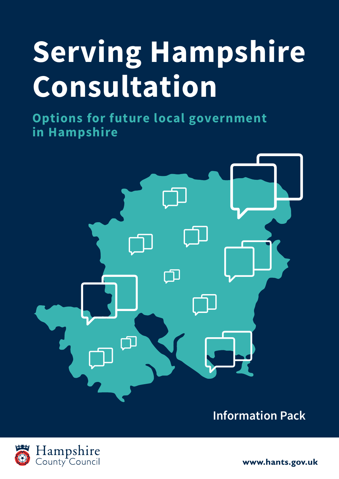# **Serving Hampshire Consultation**

**Options for future local government in Hampshire**



**Information Pack**



www.hants.gov.uk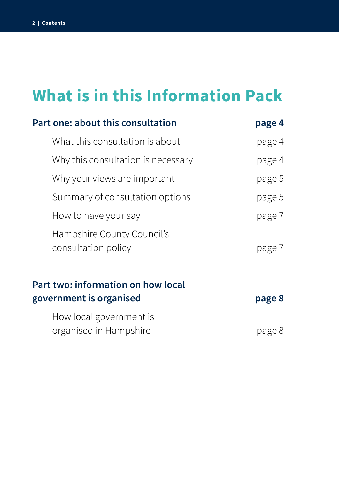# **What is in this Information Pack**

| Part one: about this consultation                             | page 4 |
|---------------------------------------------------------------|--------|
| What this consultation is about                               | page 4 |
| Why this consultation is necessary                            | page 4 |
| Why your views are important                                  | page 5 |
| Summary of consultation options                               | page 5 |
| How to have your say                                          | page 7 |
| Hampshire County Council's<br>consultation policy             | page 7 |
| Part two: information on how local<br>government is organised | page 8 |
| How local government is<br>organised in Hampshire             | page 8 |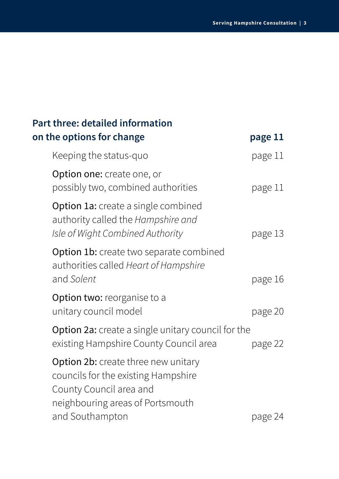| <b>Part three: detailed information</b>                                                                                                                             |         |
|---------------------------------------------------------------------------------------------------------------------------------------------------------------------|---------|
| on the options for change                                                                                                                                           | page 11 |
| Keeping the status-quo                                                                                                                                              | page 11 |
| <b>Option one:</b> create one, or<br>possibly two, combined authorities                                                                                             | page 11 |
| Option 1a: create a single combined<br>authority called the Hampshire and<br>Isle of Wight Combined Authority                                                       | page 13 |
| <b>Option 1b:</b> create two separate combined<br>authorities called Heart of Hampshire<br>and Solent                                                               | page 16 |
| <b>Option two:</b> reorganise to a<br>unitary council model                                                                                                         | page 20 |
| <b>Option 2a:</b> create a single unitary council for the<br>existing Hampshire County Council area                                                                 | page 22 |
| <b>Option 2b:</b> create three new unitary<br>councils for the existing Hampshire<br>County Council area and<br>neighbouring areas of Portsmouth<br>and Southampton | page 24 |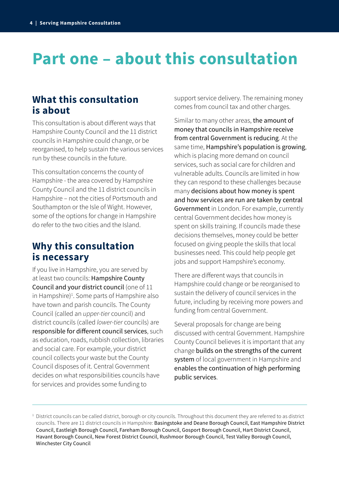# **Part one – about this consultation**

### **What this consultation is about**

This consultation is about different ways that Hampshire County Council and the 11 district councils in Hampshire could change, or be reorganised, to help sustain the various services run by these councils in the future.

This consultation concerns the county of Hampshire - the area covered by Hampshire County Council and the 11 district councils in Hampshire – not the cities of Portsmouth and Southampton or the Isle of Wight. However, some of the options for change in Hampshire do refer to the two cities and the Island.

### **Why this consultation is necessary**

If you live in Hampshire, you are served by at least two councils: Hampshire County Council and your district council (one of 11 in Hampshire)<sup>1</sup>. Some parts of Hampshire also have town and parish councils. The County Council (called an *upper-tier* council) and district councils (called *lower-tier* councils) are responsible for different council services, such as education, roads, rubbish collection, libraries and social care. For example, your district council collects your waste but the County Council disposes of it. Central Government decides on what responsibilities councils have for services and provides some funding to

support service delivery. The remaining money comes from council tax and other charges.

Similar to many other areas, the amount of money that councils in Hampshire receive from central Government is reducing. At the same time, Hampshire's population is growing, which is placing more demand on council services, such as social care for children and vulnerable adults. Councils are limited in how they can respond to these challenges because many decisions about how money is spent and how services are run are taken by central Government in London. For example, currently central Government decides how money is spent on skills training. If councils made these decisions themselves, money could be better focused on giving people the skills that local businesses need. This could help people get jobs and support Hampshire's economy.

There are different ways that councils in Hampshire could change or be reorganised to sustain the delivery of council services in the future, including by receiving more powers and funding from central Government.

Several proposals for change are being discussed with central Government. Hampshire County Council believes it is important that any change builds on the strengths of the current system of local government in Hampshire and enables the continuation of high performing public services.

<sup>&</sup>lt;sup>1</sup> District councils can be called district, borough or city councils. Throughout this document they are referred to as district councils. There are 11 district councils in Hampshire: Basingstoke and Deane Borough Council, East Hampshire District Council, Eastleigh Borough Council, Fareham Borough Council, Gosport Borough Council, Hart District Council, Havant Borough Council, New Forest District Council, Rushmoor Borough Council, Test Valley Borough Council, Winchester City Council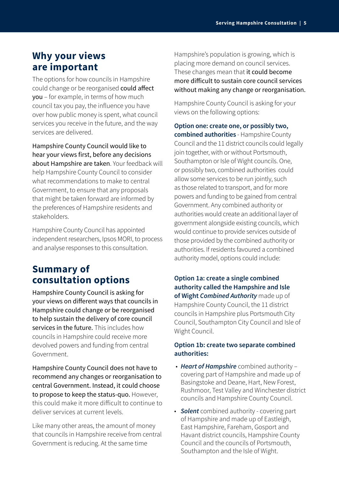### **Why your views are important**

The options for how councils in Hampshire could change or be reorganised could affect you – for example, in terms of how much council tax you pay, the influence you have over how public money is spent, what council services you receive in the future, and the way services are delivered.

Hampshire County Council would like to hear your views first, before any decisions about Hampshire are taken. Your feedback will help Hampshire County Council to consider what recommendations to make to central Government, to ensure that any proposals that might be taken forward are informed by the preferences of Hampshire residents and stakeholders.

Hampshire County Council has appointed independent researchers, Ipsos MORI, to process and analyse responses to this consultation.

### **Summary of consultation options**

Hampshire County Council is asking for your views on different ways that councils in Hampshire could change or be reorganised to help sustain the delivery of core council services in the future. This includes how councils in Hampshire could receive more devolved powers and funding from central Government.

Hampshire County Council does not have to recommend any changes or reorganisation to central Government. Instead, it could choose to propose to keep the status-quo. However, this could make it more difficult to continue to deliver services at current levels.

Like many other areas, the amount of money that councils in Hampshire receive from central Government is reducing. At the same time

Hampshire's population is growing, which is placing more demand on council services. These changes mean that it could become more difficult to sustain core council services without making any change or reorganisation.

Hampshire County Council is asking for your views on the following options:

**Option one: create one, or possibly two, combined authorities** - Hampshire County Council and the 11 district councils could legally join together, with or without Portsmouth, Southampton or Isle of Wight councils. One, or possibly two, combined authorities could allow some services to be run jointly, such as those related to transport, and for more powers and funding to be gained from central Government. Any combined authority or authorities would create an additional layer of government alongside existing councils, which would continue to provide services outside of those provided by the combined authority or authorities. If residents favoured a combined authority model, options could include:

**Option 1a: create a single combined authority called the Hampshire and Isle of Wight** *Combined Authority* made up of Hampshire County Council, the 11 district councils in Hampshire plus Portsmouth City Council, Southampton City Council and Isle of Wight Council.

### **Option 1b: create two separate combined authorities:**

- *Heart of Hampshire* combined authority covering part of Hampshire and made up of Basingstoke and Deane, Hart, New Forest, Rushmoor, Test Valley and Winchester district councils and Hampshire County Council.
- *Solent* combined authority covering part of Hampshire and made up of Eastleigh, East Hampshire, Fareham, Gosport and Havant district councils, Hampshire County Council and the councils of Portsmouth, Southampton and the Isle of Wight.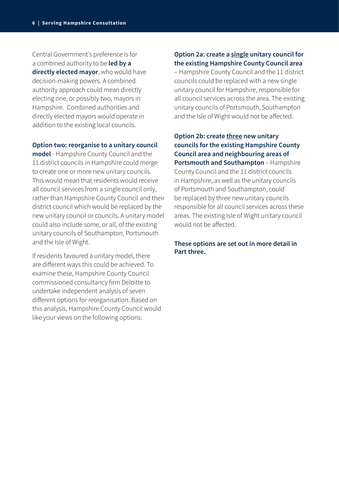Central Government's preference is for a combined authority to be **led by a directly elected mayor**, who would have decision-making powers. A combined authority approach could mean directly electing one, or possibly two, mayors in Hampshire. Combined authorities and directly elected mayors would operate in addition to the existing local councils.

### **Option two: reorganise to a unitary council**

**model** - Hampshire County Council and the 11 district councils in Hampshire could merge to create one or more new unitary councils. This would mean that residents would receive all council services from a single council only, rather than Hampshire County Council and their district council which would be replaced by the new unitary council or councils. A unitary model could also include some, or all, of the existing unitary councils of Southampton, Portsmouth and the Isle of Wight.

If residents favoured a unitary model, there are different ways this could be achieved. To examine these, Hampshire County Council commissioned consultancy firm Deloitte to undertake independent analysis of seven different options for reorganisation. Based on this analysis, Hampshire County Council would like your views on the following options:

### **Option 2a: create a single unitary council for the existing Hampshire County Council area**

– Hampshire County Council and the 11 district councils could be replaced with a new single unitary council for Hampshire, responsible for all council services across the area. The existing unitary councils of Portsmouth, Southampton and the Isle of Wight would not be affected.

**Option 2b: create three new unitary councils for the existing Hampshire County Council area and neighbouring areas of Portsmouth and Southampton** – Hampshire County Council and the 11 district councils in Hampshire, as well as the unitary councils of Portsmouth and Southampton, could be replaced by three new unitary councils responsible for all council services across these areas. The existing Isle of Wight unitary council would not be affected.

### **These options are set out in more detail in Part three.**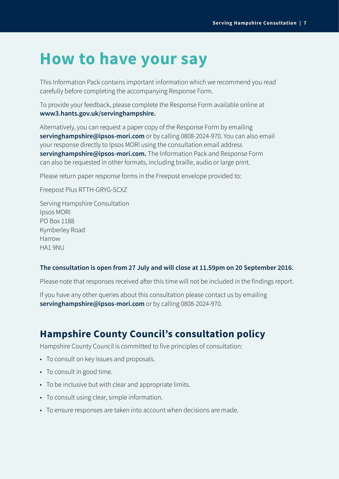# **How to have your say**

This Information Pack contains important information which we recommend you read carefully before completing the accompanying Response Form.

To provide your feedback, please complete the Response Form available online at **[www3.hants.gov.uk/servinghampshire.](http://www3.hants.gov.uk/servinghampshire.)** 

Alternatively, you can request a paper copy of the Response Form by emailing **servinghampshire@ipsos-mori.com** or by calling 0808-2024-970. You can also email your response directly to Ipsos MORI using the consultation email address **[servinghampshire@ipsos-mori.com.](mailto:mailto:servinghampshire%40ipsos-mori.com?subject=)** The Information Pack and Response Form can also be requested in other formats, including braille, audio or large print.

Please return paper response forms in the Freepost envelope provided to:

Freepost Plus RTTH-GRYG-SCXZ

Serving Hampshire Consultation Ipsos MORI PO Box 1188 Kymberley Road Harrow HA1 9NU

### **The consultation is open from 27 July and will close at 11.59pm on 20 September 2016.**

Please note that responses received after this time will not be included in the findings report.

If you have any other queries about this consultation please contact us by emailing **servinghampshire@ipsos-mori.com** or by calling 0808-2024-970.

### **Hampshire County Council's consultation policy**

Hampshire County Council is committed to five principles of consultation:

- To consult on key issues and proposals.
- To consult in good time.
- To be inclusive but with clear and appropriate limits.
- To consult using clear, simple information.
- To ensure responses are taken into account when decisions are made.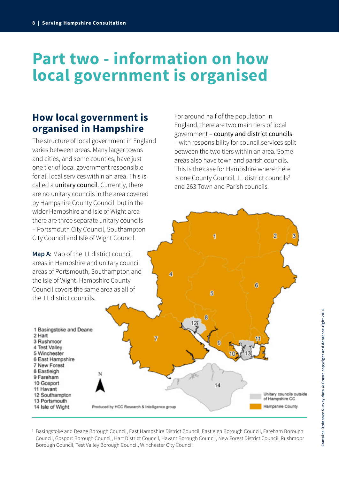# **Part two - information on how local government is organised**

### **How local government is organised in Hampshire**

The structure of local government in England varies between areas. Many larger towns and cities, and some counties, have just one tier of local government responsible for all local services within an area. This is called a unitary council. Currently, there are no unitary councils in the area covered by Hampshire County Council, but in the wider Hampshire and Isle of Wight area there are three separate unitary councils – Portsmouth City Council, Southampton City Council and Isle of Wight Council.

**Map A**: Map of the 11 district council areas in Hampshire and unitary council areas of Portsmouth, Southampton and the Isle of Wight. Hampshire County Council covers the same area as all of the 11 district councils.

1 Basingstoke and Deane 2 Hart 3 Rushmoor 4 Test Valley 5 Winchester 6 East Hampshire 7 New Forest 8 Eastleigh 9 Fareham 10 Gosport 11 Havant 12 Southampton 13 Portsmouth 14 Isle of Wight Produced by HCC Research & Intelligence group

For around half of the population in England, there are two main tiers of local government – county and district councils – with responsibility for council services split between the two tiers within an area. Some areas also have town and parish councils. This is the case for Hampshire where there is one County Council, 11 district councils<sup>2</sup> and 263 Town and Parish councils.

1

5

14

 $\overline{2}$ 

Unitary councils outside

of Hampshire CC

**Hampshire County** 

6

2 Basingstoke and Deane Borough Council, East Hampshire District Council, Eastleigh Borough Council, Fareham Borough Council, Gosport Borough Council, Hart District Council, Havant Borough Council, New Forest District Council, Rushmoor Borough Council, Test Valley Borough Council, Winchester City Council

Ā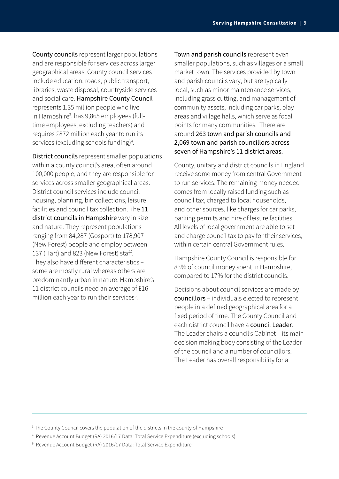County councils represent larger populations and are responsible for services across larger geographical areas. County council services include education, roads, public transport, libraries, waste disposal, countryside services and social care. Hampshire County Council represents 1.35 million people who live in Hampshire<sup>3</sup>, has 9,865 employees (fulltime employees, excluding teachers) and requires £872 million each year to run its services (excluding schools funding)<sup>4</sup>.

District councils represent smaller populations within a county council's area, often around 100,000 people, and they are responsible for services across smaller geographical areas. District council services include council housing, planning, bin collections, leisure facilities and council tax collection. The 11 district councils in Hampshire vary in size and nature. They represent populations ranging from 84,287 (Gosport) to 178,907 (New Forest) people and employ between 137 (Hart) and 823 (New Forest) staff. They also have different characteristics – some are mostly rural whereas others are predominantly urban in nature. Hampshire's 11 district councils need an average of £16 million each year to run their services<sup>5</sup>.

Town and parish councils represent even smaller populations, such as villages or a small market town. The services provided by town and parish councils vary, but are typically local, such as minor maintenance services, including grass cutting, and management of community assets, including car parks, play areas and village halls, which serve as focal points for many communities. There are around 263 town and parish councils and 2,069 town and parish councillors across seven of Hampshire's 11 district areas.

County, unitary and district councils in England receive some money from central Government to run services. The remaining money needed comes from locally raised funding such as council tax, charged to local households, and other sources, like charges for car parks, parking permits and hire of leisure facilities. All levels of local government are able to set and charge council tax to pay for their services, within certain central Government rules.

Hampshire County Council is responsible for 83% of council money spent in Hampshire, compared to 17% for the district councils.

Decisions about council services are made by councillors – individuals elected to represent people in a defined geographical area for a fixed period of time. The County Council and each district council have a council Leader. The Leader chairs a council's Cabinet – its main decision making body consisting of the Leader of the council and a number of councillors. The Leader has overall responsibility for a

 $^3$  The County Council covers the population of the districts in the county of Hampshire

<sup>4</sup> Revenue Account Budget (RA) 2016/17 Data: Total Service Expenditure (excluding schools)

<sup>5</sup> Revenue Account Budget (RA) 2016/17 Data: Total Service Expenditure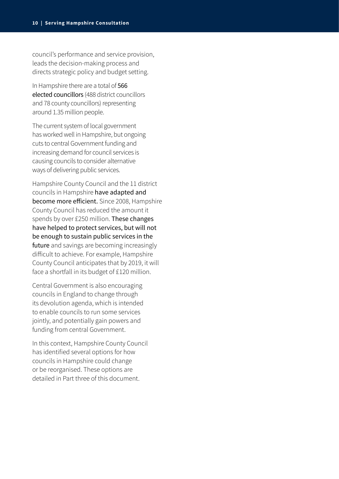council's performance and service provision, leads the decision-making process and directs strategic policy and budget setting.

In Hampshire there are a total of 566 elected councillors (488 district councillors and 78 county councillors) representing around 1.35 million people.

The current system of local government has worked well in Hampshire, but ongoing cuts to central Government funding and increasing demand for council services is causing councils to consider alternative ways of delivering public services.

Hampshire County Council and the 11 district councils in Hampshire have adapted and become more efficient. Since 2008, Hampshire County Council has reduced the amount it spends by over £250 million. These changes have helped to protect services, but will not be enough to sustain public services in the future and savings are becoming increasingly difficult to achieve. For example, Hampshire County Council anticipates that by 2019, it will face a shortfall in its budget of £120 million.

Central Government is also encouraging councils in England to change through its devolution agenda, which is intended to enable councils to run some services jointly, and potentially gain powers and funding from central Government.

In this context, Hampshire County Council has identified several options for how councils in Hampshire could change or be reorganised. These options are detailed in Part three of this document.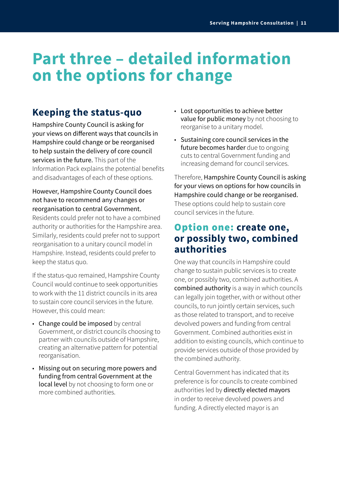## **Part three – detailed information on the options for change**

### **Keeping the status-quo**

Hampshire County Council is asking for your views on different ways that councils in Hampshire could change or be reorganised to help sustain the delivery of core council services in the future. This part of the Information Pack explains the potential benefits and disadvantages of each of these options.

### However, Hampshire County Council does not have to recommend any changes or reorganisation to central Government.

Residents could prefer not to have a combined authority or authorities for the Hampshire area. Similarly, residents could prefer not to support reorganisation to a unitary council model in Hampshire. Instead, residents could prefer to keep the status quo.

If the status-quo remained, Hampshire County Council would continue to seek opportunities to work with the 11 district councils in its area to sustain core council services in the future. However, this could mean:

- Change could be imposed by central Government, or district councils choosing to partner with councils outside of Hampshire, creating an alternative pattern for potential reorganisation.
- Missing out on securing more powers and funding from central Government at the local level by not choosing to form one or more combined authorities.
- Lost opportunities to achieve better value for public money by not choosing to reorganise to a unitary model.
- Sustaining core council services in the future becomes harder due to ongoing cuts to central Government funding and increasing demand for council services.

Therefore, Hampshire County Council is asking for your views on options for how councils in Hampshire could change or be reorganised. These options could help to sustain core council services in the future.

### Option one: **create one, or possibly two, combined authorities**

One way that councils in Hampshire could change to sustain public services is to create one, or possibly two, combined authorities. A combined authority is a way in which councils can legally join together, with or without other councils, to run jointly certain services, such as those related to transport, and to receive devolved powers and funding from central Government. Combined authorities exist in addition to existing councils, which continue to provide services outside of those provided by the combined authority.

Central Government has indicated that its preference is for councils to create combined authorities led by directly elected mayors in order to receive devolved powers and funding. A directly elected mayor is an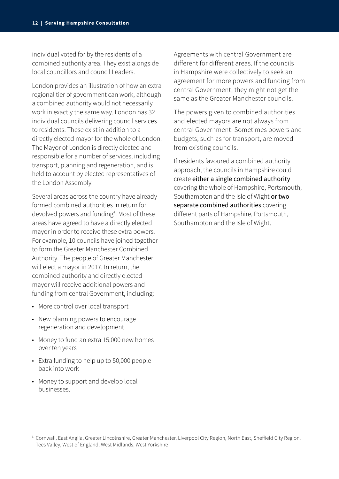individual voted for by the residents of a combined authority area. They exist alongside local councillors and council Leaders.

London provides an illustration of how an extra regional tier of government can work, although a combined authority would not necessarily work in exactly the same way. London has 32 individual councils delivering council services to residents. These exist in addition to a directly elected mayor for the whole of London. The Mayor of London is directly elected and responsible for a number of services, including transport, planning and regeneration, and is held to account by elected representatives of the London Assembly.

Several areas across the country have already formed combined authorities in return for devolved powers and funding<sup>6</sup>. Most of these areas have agreed to have a directly elected mayor in order to receive these extra powers. For example, 10 councils have joined together to form the Greater Manchester Combined Authority. The people of Greater Manchester will elect a mayor in 2017. In return, the combined authority and directly elected mayor will receive additional powers and funding from central Government, including:

- More control over local transport
- New planning powers to encourage regeneration and development
- Money to fund an extra 15,000 new homes over ten years
- Extra funding to help up to 50,000 people back into work
- Money to support and develop local businesses.

Agreements with central Government are different for different areas. If the councils in Hampshire were collectively to seek an agreement for more powers and funding from central Government, they might not get the same as the Greater Manchester councils.

The powers given to combined authorities and elected mayors are not always from central Government. Sometimes powers and budgets, such as for transport, are moved from existing councils.

If residents favoured a combined authority approach, the councils in Hampshire could create either a single combined authority covering the whole of Hampshire, Portsmouth, Southampton and the Isle of Wight or two separate combined authorities covering different parts of Hampshire, Portsmouth, Southampton and the Isle of Wight.

<sup>6</sup> Cornwall, East Anglia, Greater Lincolnshire, Greater Manchester, Liverpool City Region, North East, Sheffield City Region, Tees Valley, West of England, West Midlands, West Yorkshire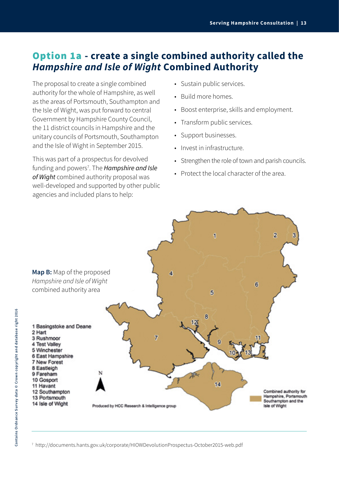### Option 1a **- create a single combined authority called the**  *Hampshire and Isle of Wight* **Combined Authority**

The proposal to create a single combined authority for the whole of Hampshire, as well as the areas of Portsmouth, Southampton and the Isle of Wight, was put forward to central Government by Hampshire County Council, the 11 district councils in Hampshire and the unitary councils of Portsmouth, Southampton and the Isle of Wight in September 2015.

This was part of a prospectus for devolved funding and powers<sup>7</sup>. The *Hampshire and Isle of Wight* combined authority proposal was well-developed and supported by other public agencies and included plans to help:

- Sustain public services.
- Build more homes.
- Boost enterprise, skills and employment.
- Transform public services.
- Support businesses.
- Invest in infrastructure.
- Strengthen the role of town and parish councils.
- Protect the local character of the area.



7 http://documents.hants.gov.uk/corporate/HIOWDevolutionProspectus-October2015-web.pdf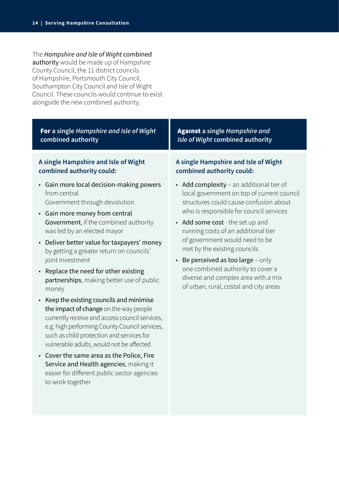The *Hampshire and Isle of Wight* combined authority would be made up of Hampshire County Council, the 11 district councils of Hampshire, Portsmouth City Council, Southampton City Council and Isle of Wight Council. These councils would continue to exist alongside the new combined authority.

| For a single Hampshire and Isle of Wight                                                                                                                                                                                                                                                                                                                                                                                                                                                                                                                                                                                                                                                                                   | <b>Against</b> a single Hampshire and                                                                                                                                                                                                                                                                                                                                                                                                                                                           |
|----------------------------------------------------------------------------------------------------------------------------------------------------------------------------------------------------------------------------------------------------------------------------------------------------------------------------------------------------------------------------------------------------------------------------------------------------------------------------------------------------------------------------------------------------------------------------------------------------------------------------------------------------------------------------------------------------------------------------|-------------------------------------------------------------------------------------------------------------------------------------------------------------------------------------------------------------------------------------------------------------------------------------------------------------------------------------------------------------------------------------------------------------------------------------------------------------------------------------------------|
| combined authority                                                                                                                                                                                                                                                                                                                                                                                                                                                                                                                                                                                                                                                                                                         | Isle of Wight combined authority                                                                                                                                                                                                                                                                                                                                                                                                                                                                |
| A single Hampshire and Isle of Wight                                                                                                                                                                                                                                                                                                                                                                                                                                                                                                                                                                                                                                                                                       | A single Hampshire and Isle of Wight                                                                                                                                                                                                                                                                                                                                                                                                                                                            |
| combined authority could:                                                                                                                                                                                                                                                                                                                                                                                                                                                                                                                                                                                                                                                                                                  | combined authority could:                                                                                                                                                                                                                                                                                                                                                                                                                                                                       |
| • Gain more local decision-making powers<br>from central<br>Government through devolution<br>• Gain more money from central<br>Government, if the combined authority<br>was led by an elected mayor<br>Deliver better value for taxpayers' money<br>$\bullet$<br>by getting a greater return on councils'<br>joint investment<br>• Replace the need for other existing<br>partnerships, making better use of public<br>money<br>Keep the existing councils and minimise<br>$\bullet$<br>the impact of change on the way people<br>currently receive and access council services,<br>e.g. high performing County Council services,<br>such as child protection and services for<br>vulnerable adults, would not be affected | • Add complexity - an additional tier of<br>local government on top of current council<br>structures could cause confusion about<br>who is responsible for council services<br>• Add some cost - the set up and<br>running costs of an additional tier<br>of government would need to be<br>met by the existing councils<br>Be perceived as too large - only<br>$\bullet$<br>one combined authority to cover a<br>diverse and complex area with a mix<br>of urban, rural, costal and city areas |

• Cover the same area as the Police, Fire Service and Health agencies, making it easier for different public sector agencies to work together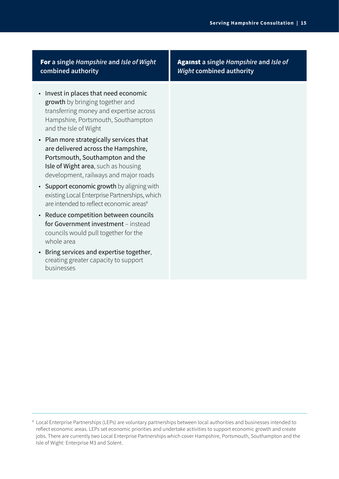### For **a single** *Hampshire* **and** *Isle of Wight* **combined authority**

- Invest in places that need economic growth by bringing together and transferring money and expertise across Hampshire, Portsmouth, Southampton and the Isle of Wight
- Plan more strategically services that are delivered across the Hampshire, Portsmouth, Southampton and the Isle of Wight area, such as housing development, railways and major roads
- Support economic growth by aligning with existing Local Enterprise Partnerships, which are intended to reflect economic areas<sup>8</sup>
- Reduce competition between councils for Government investment – instead councils would pull together for the whole area
- Bring services and expertise together, creating greater capacity to support businesses

Against **a single** *Hampshire* **and** *Isle of Wight* **combined authority**

<sup>8</sup> Local Enterprise Partnerships (LEPs) are voluntary partnerships between local authorities and businesses intended to reflect economic areas. LEPs set economic priorities and undertake activities to support economic growth and create jobs. There are currently two Local Enterprise Partnerships which cover Hampshire, Portsmouth, Southampton and the Isle of Wight: Enterprise M3 and Solent.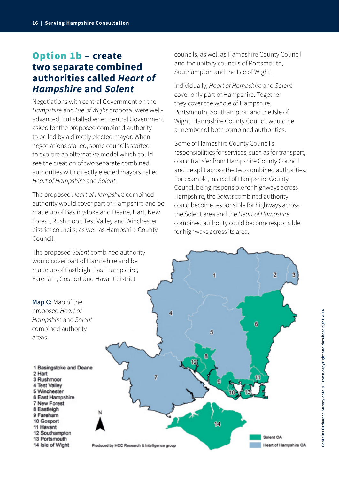### Option 1b **– create two separate combined authorities called** *Heart of Hampshire* **and** *Solent*

Negotiations with central Government on the *Hampshire* and *Isle of Wight* proposal were welladvanced, but stalled when central Government asked for the proposed combined authority to be led by a directly elected mayor. When negotiations stalled, some councils started to explore an alternative model which could see the creation of two separate combined authorities with directly elected mayors called *Heart of Hampshire* and *Solent*.

The proposed *Heart of Hampshire* combined authority would cover part of Hampshire and be made up of Basingstoke and Deane, Hart, New Forest, Rushmoor, Test Valley and Winchester district councils, as well as Hampshire County Council.

The proposed *Solent* combined authority would cover part of Hampshire and be made up of Eastleigh, East Hampshire, Fareham, Gosport and Havant district

councils, as well as Hampshire County Council and the unitary councils of Portsmouth, Southampton and the Isle of Wight.

Individually, *Heart of Hampshire* and *Solent*  cover only part of Hampshire. Together they cover the whole of Hampshire, Portsmouth, Southampton and the Isle of Wight. Hampshire County Council would be a member of both combined authorities.

Some of Hampshire County Council's responsibilities for services, such as for transport, could transfer from Hampshire County Council and be split across the two combined authorities. For example, instead of Hampshire County Council being responsible for highways across Hampshire, the *Solent* combined authority could become responsible for highways across the Solent area and the *Heart of Hampshire* combined authority could become responsible for highways across its area.

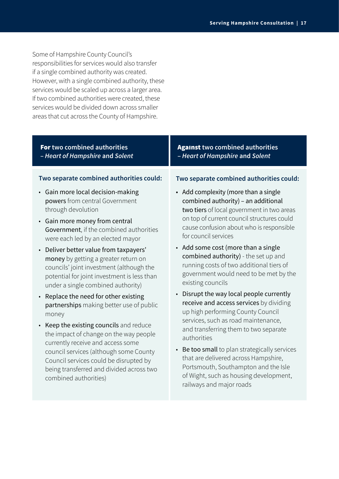Some of Hampshire County Council's responsibilities for services would also transfer if a single combined authority was created. However, with a single combined authority, these services would be scaled up across a larger area. If two combined authorities were created, these services would be divided down across smaller areas that cut across the County of Hampshire.

| For two combined authorities                                                                                                                                                                                               | <b>Against two combined authorities</b>                                                                                                                                                |
|----------------------------------------------------------------------------------------------------------------------------------------------------------------------------------------------------------------------------|----------------------------------------------------------------------------------------------------------------------------------------------------------------------------------------|
| - Heart of Hampshire and Solent                                                                                                                                                                                            | - Heart of Hampshire and Solent                                                                                                                                                        |
| Two separate combined authorities could:                                                                                                                                                                                   | Two separate combined authorities could:                                                                                                                                               |
| • Gain more local decision-making                                                                                                                                                                                          | • Add complexity (more than a single                                                                                                                                                   |
| powers from central Government                                                                                                                                                                                             | combined authority) - an additional                                                                                                                                                    |
| through devolution                                                                                                                                                                                                         | two tiers of local government in two areas                                                                                                                                             |
| • Gain more money from central                                                                                                                                                                                             | on top of current council structures could                                                                                                                                             |
| Government, if the combined authorities                                                                                                                                                                                    | cause confusion about who is responsible                                                                                                                                               |
| were each led by an elected mayor                                                                                                                                                                                          | for council services                                                                                                                                                                   |
| Deliver better value from taxpayers'<br>$\bullet$<br>money by getting a greater return on<br>councils' joint investment (although the<br>potential for joint investment is less than<br>under a single combined authority) | • Add some cost (more than a single<br>combined authority) - the set up and<br>running costs of two additional tiers of<br>government would need to be met by the<br>existing councils |
| Replace the need for other existing                                                                                                                                                                                        | Disrupt the way local people currently                                                                                                                                                 |
| $\bullet$                                                                                                                                                                                                                  | $\bullet$                                                                                                                                                                              |
| partnerships making better use of public                                                                                                                                                                                   | receive and access services by dividing                                                                                                                                                |
| money                                                                                                                                                                                                                      | up high performing County Council                                                                                                                                                      |
| Keep the existing councils and reduce<br>$\bullet$<br>the impact of change on the way people                                                                                                                               | services, such as road maintenance,<br>and transferring them to two separate                                                                                                           |

the impact of change on the way people currently receive and access some council services (although some County Council services could be disrupted by being transferred and divided across two combined authorities)

### • Be too small to plan strategically services that are delivered across Hampshire, Portsmouth, Southampton and the Isle of Wight, such as housing development, railways and major roads

authorities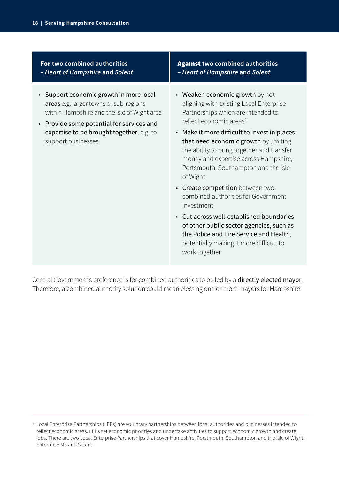For **two combined authorities –** *Heart of Hampshire* **and** *Solent*

- Support economic growth in more local areas e.g. larger towns or sub-regions within Hampshire and the Isle of Wight area
- Provide some potential for services and expertise to be brought together, e.g. to support businesses

Against **two combined authorities –** *Heart of Hampshire* **and** *Solent*

- Weaken economic growth by not aligning with existing Local Enterprise Partnerships which are intended to reflect economic areas<sup>9</sup>
- Make it more difficult to invest in places that need economic growth by limiting the ability to bring together and transfer money and expertise across Hampshire, Portsmouth, Southampton and the Isle of Wight
- Create competition between two combined authorities for Government investment
- Cut across well-established boundaries of other public sector agencies, such as the Police and Fire Service and Health, potentially making it more difficult to work together

Central Government's preference is for combined authorities to be led by a directly elected mayor. Therefore, a combined authority solution could mean electing one or more mayors for Hampshire.

<sup>9</sup> Local Enterprise Partnerships (LEPs) are voluntary partnerships between local authorities and businesses intended to reflect economic areas. LEPs set economic priorities and undertake activities to support economic growth and create jobs. There are two Local Enterprise Partnerships that cover Hampshire, Porstmouth, Southampton and the Isle of Wight: Enterprise M3 and Solent.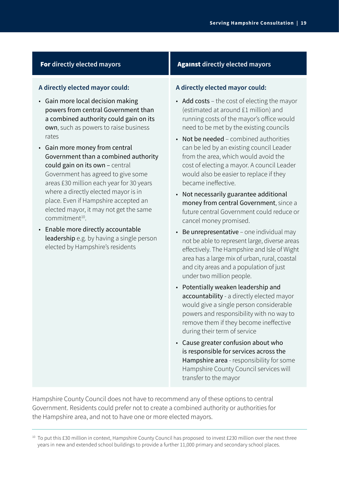### **A directly elected mayor could:**

- Gain more local decision making powers from central Government than a combined authority could gain on its own, such as powers to raise business rates
- Gain more money from central Government than a combined authority could gain on its own – central Government has agreed to give some areas £30 million each year for 30 years where a directly elected mayor is in place. Even if Hampshire accepted an elected mayor, it may not get the same  $commitment<sup>10</sup>$ .
- Enable more directly accountable leadership e.g. by having a single person elected by Hampshire's residents

### **For** directly elected mayors **Against** directly elected mayors

### **A directly elected mayor could:**

- Add costs the cost of electing the mayor (estimated at around £1 million) and running costs of the mayor's office would need to be met by the existing councils
- Not be needed combined authorities can be led by an existing council Leader from the area, which would avoid the cost of electing a mayor. A council Leader would also be easier to replace if they became ineffective.
- Not necessarily guarantee additional money from central Government, since a future central Government could reduce or cancel money promised.
- Be unrepresentative one individual may not be able to represent large, diverse areas effectively. The Hampshire and Isle of Wight area has a large mix of urban, rural, coastal and city areas and a population of just under two million people.
- Potentially weaken leadership and accountability - a directly elected mayor would give a single person considerable powers and responsibility with no way to remove them if they become ineffective during their term of service
- Cause greater confusion about who is responsible for services across the Hampshire area - responsibility for some Hampshire County Council services will transfer to the mayor

Hampshire County Council does not have to recommend any of these options to central Government. Residents could prefer not to create a combined authority or authorities for the Hampshire area, and not to have one or more elected mayors.

<sup>&</sup>lt;sup>10</sup> To put this £30 million in context, Hampshire County Council has proposed to invest £230 million over the next three years in new and extended school buildings to provide a further 11,000 primary and secondary school places.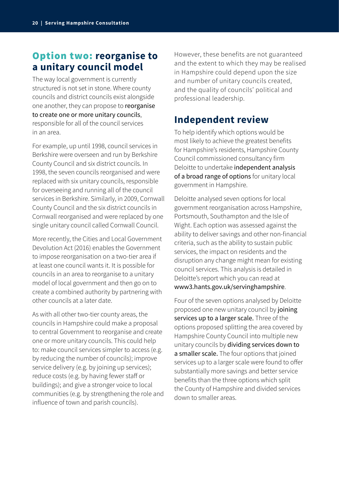### Option two: **reorganise to a unitary council model**

The way local government is currently structured is not set in stone. Where county councils and district councils exist alongside one another, they can propose to reorganise to create one or more unitary councils, responsible for all of the council services in an area.

For example, up until 1998, council services in Berkshire were overseen and run by Berkshire County Council and six district councils. In 1998, the seven councils reorganised and were replaced with six unitary councils, responsible for overseeing and running all of the council services in Berkshire. Similarly, in 2009, Cornwall County Council and the six district councils in Cornwall reorganised and were replaced by one single unitary council called Cornwall Council.

More recently, the Cities and Local Government Devolution Act (2016) enables the Government to impose reorganisation on a two-tier area if at least one council wants it. It is possible for councils in an area to reorganise to a unitary model of local government and then go on to create a combined authority by partnering with other councils at a later date.

As with all other two-tier county areas, the councils in Hampshire could make a proposal to central Government to reorganise and create one or more unitary councils. This could help to: make council services simpler to access (e.g. by reducing the number of councils); improve service delivery (e.g. by joining up services); reduce costs (e.g. by having fewer staff or buildings); and give a stronger voice to local communities (e.g. by strengthening the role and influence of town and parish councils).

However, these benefits are not guaranteed and the extent to which they may be realised in Hampshire could depend upon the size and number of unitary councils created, and the quality of councils' political and professional leadership.

### **Independent review**

To help identify which options would be most likely to achieve the greatest benefits for Hampshire's residents, Hampshire County Council commissioned consultancy firm Deloitte to undertake independent analysis of a broad range of options for unitary local government in Hampshire.

Deloitte analysed seven options for local government reorganisation across Hampshire, Portsmouth, Southampton and the Isle of Wight. Each option was assessed against the ability to deliver savings and other non-financial criteria, such as the ability to sustain public services, the impact on residents and the disruption any change might mean for existing council services. This analysis is detailed in Deloitte's report which you can read at www3.hants.gov.uk/servinghampshire.

Four of the seven options analysed by Deloitte proposed one new unitary council by joining services up to a larger scale. Three of the options proposed splitting the area covered by Hampshire County Council into multiple new unitary councils by dividing services down to a smaller scale. The four options that joined services up to a larger scale were found to offer substantially more savings and better service benefits than the three options which split the County of Hampshire and divided services down to smaller areas.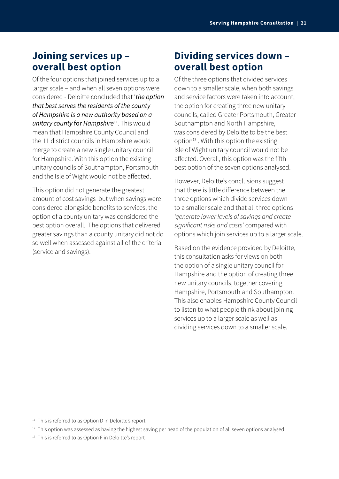### **Joining services up – overall best option**

Of the four options that joined services up to a larger scale – and when all seven options were considered - Deloitte concluded that '*the option that best serves the residents of the county of Hampshire is a new authority based on a unitary county* for *Hampshire*11. This would mean that Hampshire County Council and the 11 district councils in Hampshire would merge to create a new single unitary council for Hampshire. With this option the existing unitary councils of Southampton, Portsmouth and the Isle of Wight would not be affected.

This option did not generate the greatest amount of cost savings but when savings were considered alongside benefits to services, the option of a county unitary was considered the best option overall. The options that delivered greater savings than a county unitary did not do so well when assessed against all of the criteria (service and savings).

### **Dividing services down – overall best option**

Of the three options that divided services down to a smaller scale, when both savings and service factors were taken into account, the option for creating three new unitary councils, called Greater Portsmouth, Greater Southampton and North Hampshire, was considered by Deloitte to be the best option $13$ . With this option the existing Isle of Wight unitary council would not be affected. Overall, this option was the fifth best option of the seven options analysed.

However, Deloitte's conclusions suggest that there is little difference between the three options which divide services down to a smaller scale and that all three options *'generate lower levels of savings and create*  significant risks and costs' compared with options which join services up to a larger scale.

Based on the evidence provided by Deloitte, this consultation asks for views on both the option of a single unitary council for Hampshire and the option of creating three new unitary councils, together covering Hampshire, Portsmouth and Southampton. This also enables Hampshire County Council to listen to what people think about joining services up to a larger scale as well as dividing services down to a smaller scale.

<sup>&</sup>lt;sup>11</sup> This is referred to as Option D in Deloitte's report

 $12$  This option was assessed as having the highest saving per head of the population of all seven options analysed

<sup>&</sup>lt;sup>13</sup> This is referred to as Option F in Deloitte's report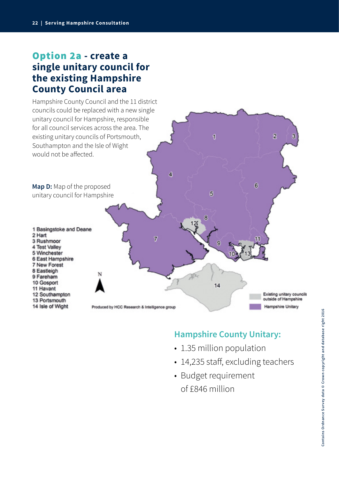### Option 2a **- create a single unitary council for the existing Hampshire County Council area**



### **Hampshire County Unitary:**

- 1.35 million population
- 14,235 staff, excluding teachers
- Budget requirement of £846 million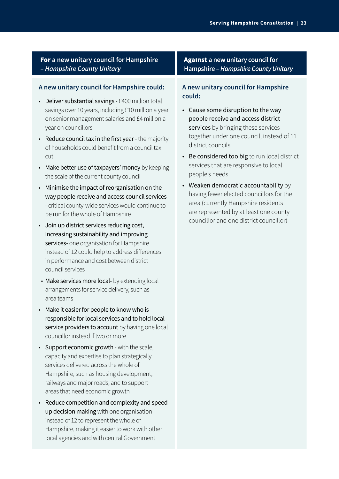### For **a new unitary council for Hampshire –** *Hampshire County Unitary*

### **A new unitary council for Hampshire could:**

- Deliver substantial savings £400 million total savings over 10 years, including £10 million a year on senior management salaries and £4 million a year on councillors
- Reduce council tax in the first year the majority of households could benefit from a council tax cut
- Make better use of taxpayers' money by keeping the scale of the current county council
- Minimise the impact of reorganisation on the way people receive and access council services - critical county-wide services would continue to be run for the whole of Hampshire
- Join up district services reducing cost, increasing sustainability and improving services- one organisation for Hampshire instead of 12 could help to address differences in performance and cost between district council services
- Make services more local- by extending local arrangements for service delivery, such as area teams
- Make it easier for people to know who is responsible for local services and to hold local service providers to account by having one local councillor instead if two or more
- Support economic growth with the scale, capacity and expertise to plan strategically services delivered across the whole of Hampshire, such as housing development, railways and major roads, and to support areas that need economic growth
- Reduce competition and complexity and speed up decision making with one organisation instead of 12 to represent the whole of Hampshire, making it easier to work with other local agencies and with central Government

### Against **a new unitary council for Hampshire** *– Hampshire County Unitary*

### **A new unitary council for Hampshire could:**

- Cause some disruption to the way people receive and access district services by bringing these services together under one council, instead of 11 district councils.
- Be considered too big to run local district services that are responsive to local people's needs
- Weaken democratic accountability by having fewer elected councillors for the area (currently Hampshire residents are represented by at least one county councillor and one district councillor)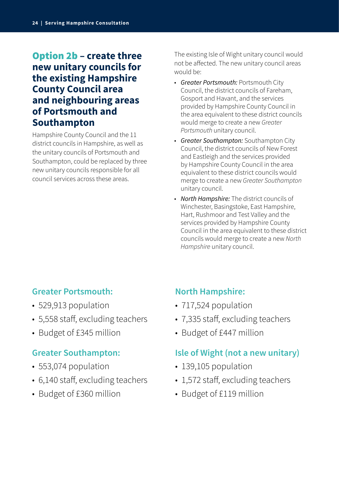### Option 2b **– create three new unitary councils for the existing Hampshire County Council area and neighbouring areas of Portsmouth and Southampton**

Hampshire County Council and the 11 district councils in Hampshire, as well as the unitary councils of Portsmouth and Southampton, could be replaced by three new unitary councils responsible for all council services across these areas.

The existing Isle of Wight unitary council would not be affected. The new unitary council areas would be:

- *Greater Portsmouth:* Portsmouth City Council, the district councils of Fareham, Gosport and Havant, and the services provided by Hampshire County Council in the area equivalent to these district councils would merge to create a new *Greater Portsmouth* unitary council.
- *Greater Southampton:* Southampton City Council, the district councils of New Forest and Eastleigh and the services provided by Hampshire County Council in the area equivalent to these district councils would merge to create a new *Greater Southampton* unitary council.
- *North Hampshire:* The district councils of Winchester, Basingstoke, East Hampshire, Hart, Rushmoor and Test Valley and the services provided by Hampshire County Council in the area equivalent to these district councils would merge to create a new *North Hampshire* unitary council.

### **Greater Portsmouth:**

- 529,913 population
- 5,558 staff, excluding teachers
- Budget of £345 million

### **Greater Southampton:**

- 553,074 population
- 6,140 staff, excluding teachers
- Budget of £360 million

### **North Hampshire:**

- 717,524 population
- 7,335 staff, excluding teachers
- Budget of £447 million

### **Isle of Wight (not a new unitary)**

- 139,105 population
- 1,572 staff, excluding teachers
- Budget of £119 million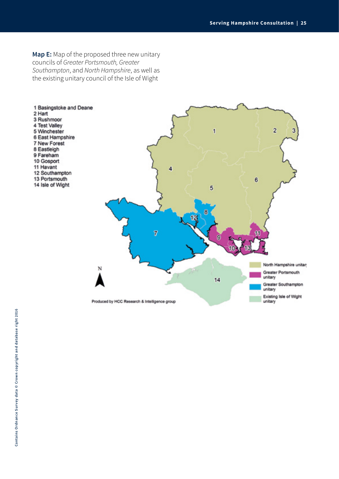**Map E:** Map of the proposed three new unitary councils of *Greater Portsmouth, Greater Southampton*, and *North Hampshire*, as well as the existing unitary council of the Isle of Wight

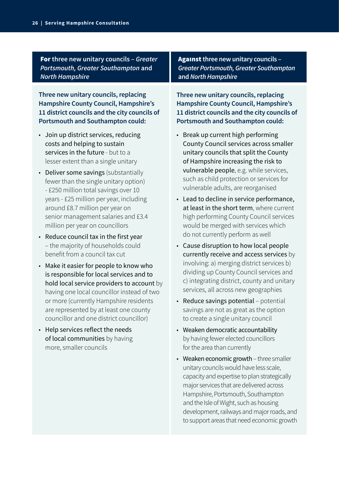For **three new unitary councils –** *Greater Portsmouth, Greater Southampton* **and**  *North Hampshire*

**Three new unitary councils, replacing Hampshire County Council, Hampshire's 11 district councils and the city councils of Portsmouth and Southampton could:**

- Join up district services, reducing costs and helping to sustain services in the future - but to a lesser extent than a single unitary
- Deliver some savings (substantially fewer than the single unitary option) - £250 million total savings over 10 years - £25 million per year, including around £8.7 million per year on senior management salaries and £3.4 million per year on councillors
- Reduce council tax in the first year – the majority of households could benefit from a council tax cut
- Make it easier for people to know who is responsible for local services and to hold local service providers to account by having one local councillor instead of two or more (currently Hampshire residents are represented by at least one county councillor and one district councillor)
- Help services reflect the needs of local communities by having more, smaller councils

Against **three new unitary councils –**  *Greater Portsmouth, Greater Southampton* **and** *North Hampshire*

**Three new unitary councils, replacing Hampshire County Council, Hampshire's 11 district councils and the city councils of Portsmouth and Southampton could:**

- Break up current high performing County Council services across smaller unitary councils that split the County of Hampshire increasing the risk to vulnerable people, e.g. while services, such as child protection or services for vulnerable adults, are reorganised
- Lead to decline in service performance, at least in the short term, where current high performing County Council services would be merged with services which do not currently perform as well
- Cause disruption to how local people currently receive and access services by involving: a) merging district services b) dividing up County Council services and c) integrating district, county and unitary services, all across new geographies
- Reduce savings potential potential savings are not as great as the option to create a single unitary council
- Weaken democratic accountability by having fewer elected councillors for the area than currently
- Weaken economic growth three smaller unitary councils would have less scale, capacity and expertise to plan strategically major services that are delivered across Hampshire, Portsmouth, Southampton and the Isle of Wight, such as housing development, railways and major roads, and to support areas that need economic growth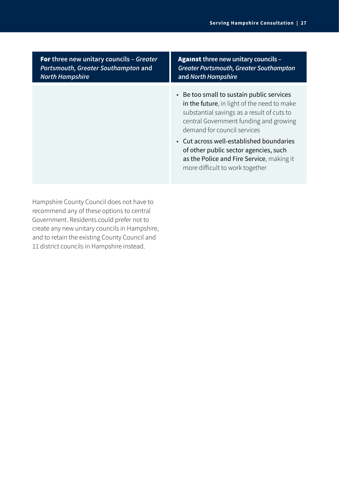| <b>For</b> three new unitary councils - Greater | <b>Against three new unitary councils -</b>                                                                                                                                                                                                                                                                                                                                          |
|-------------------------------------------------|--------------------------------------------------------------------------------------------------------------------------------------------------------------------------------------------------------------------------------------------------------------------------------------------------------------------------------------------------------------------------------------|
| Portsmouth, Greater Southampton and             | <b>Greater Portsmouth, Greater Southampton</b>                                                                                                                                                                                                                                                                                                                                       |
| <b>North Hampshire</b>                          | and North Hampshire                                                                                                                                                                                                                                                                                                                                                                  |
|                                                 | • Be too small to sustain public services<br>in the future, in light of the need to make<br>substantial savings as a result of cuts to<br>central Government funding and growing<br>demand for council services<br>• Cut across well-established boundaries<br>of other public sector agencies, such<br>as the Police and Fire Service, making it<br>more difficult to work together |

Hampshire County Council does not have to recommend any of these options to central Government. Residents could prefer not to create any new unitary councils in Hampshire, and to retain the existing County Council and 11 district councils in Hampshire instead.